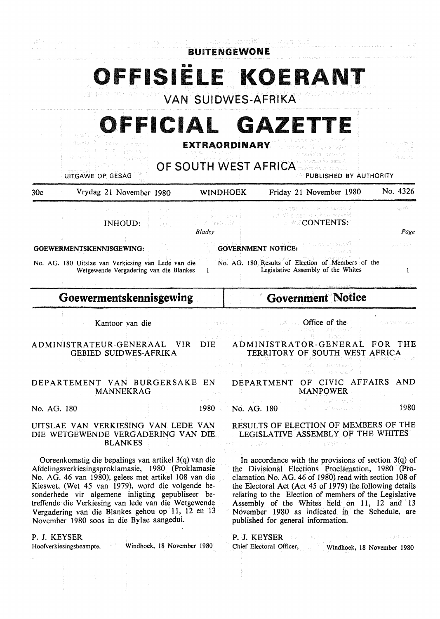| - De            |                                                                                                                                                                                                                                                                                                                                                                                                                                        |                                                   | <b>BUITENGEWONE</b>                                        | weaked explife a paperal                     |                                                                                                                                                                                                                                                                                                                                                                                                                                      |                                         |
|-----------------|----------------------------------------------------------------------------------------------------------------------------------------------------------------------------------------------------------------------------------------------------------------------------------------------------------------------------------------------------------------------------------------------------------------------------------------|---------------------------------------------------|------------------------------------------------------------|----------------------------------------------|--------------------------------------------------------------------------------------------------------------------------------------------------------------------------------------------------------------------------------------------------------------------------------------------------------------------------------------------------------------------------------------------------------------------------------------|-----------------------------------------|
|                 |                                                                                                                                                                                                                                                                                                                                                                                                                                        | <b>VAN SUIDWES-AFRIKA</b>                         |                                                            |                                              | OFFISIELE KOERANT                                                                                                                                                                                                                                                                                                                                                                                                                    |                                         |
|                 | Prince St<br>PT SP BER<br>9. Notes<br>UITGAWE OP GESAG                                                                                                                                                                                                                                                                                                                                                                                 | OFFICIAL GAZETTE<br><b>OF SOUTH WEST AFRICATE</b> | <b>EXTRAORDINARY</b>                                       |                                              | PUBLISHED BY AUTHORITY                                                                                                                                                                                                                                                                                                                                                                                                               | ローバイヤ 弟<br>Provincia de Chica           |
| 30 <sub>c</sub> | Vrydag 21 November 1980                                                                                                                                                                                                                                                                                                                                                                                                                |                                                   | WINDHOEK                                                   |                                              | Friday 21 November 1980                                                                                                                                                                                                                                                                                                                                                                                                              | No. 4326                                |
|                 | 일정도<br>INHOUD:                                                                                                                                                                                                                                                                                                                                                                                                                         | at e ganci<br>Bladsv                              | 流行性 健壮的<br>is Williams.HO                                  |                                              | カカムコ ひろいやく コンドー・ちゅん とすびつ<br>TA W Bang TER SERGEN<br>$\textdegree$ $\textdegree$ CONTENTS:                                                                                                                                                                                                                                                                                                                                            | - a PO -<br>Page                        |
|                 | GOEWERMENTSKENNISGEWING:                                                                                                                                                                                                                                                                                                                                                                                                               |                                                   |                                                            | <b>GOVERNMENT NOTICE:</b>                    |                                                                                                                                                                                                                                                                                                                                                                                                                                      | 나라 회사는                                  |
|                 | No. AG. 180 Uitslae van Verkiesing van Lede van die<br>Wetgewende Vergadering van die Blankes                                                                                                                                                                                                                                                                                                                                          | $\mathbf{I}$                                      |                                                            |                                              | No. AG. 180 Results of Election of Members of the<br>Legislative Assembly of the Whites                                                                                                                                                                                                                                                                                                                                              | 1                                       |
|                 | Goewermentskennisgewing                                                                                                                                                                                                                                                                                                                                                                                                                |                                                   |                                                            |                                              | <b>Government Notice</b>                                                                                                                                                                                                                                                                                                                                                                                                             |                                         |
|                 | Kantoor van die                                                                                                                                                                                                                                                                                                                                                                                                                        |                                                   |                                                            |                                              | Office of the                                                                                                                                                                                                                                                                                                                                                                                                                        | K. J. J. G. M. 189 Å                    |
|                 | ADMINISTRATEUR-GENERAAL<br><b>GEBIED SUIDWES-AFRIKA</b>                                                                                                                                                                                                                                                                                                                                                                                | VIR.<br>DIE                                       |                                                            |                                              | ADMINISTRATOR-GENERAL<br>TERRITORY OF SOUTH WEST AFRICA                                                                                                                                                                                                                                                                                                                                                                              | FOR THE                                 |
|                 |                                                                                                                                                                                                                                                                                                                                                                                                                                        |                                                   | $\mathcal{P}^{\mathcal{P}}(\mathcal{A})=\{1,2,3,4,5,6\}$ . | スクテー<br>$\sim 20$<br>認定の<br>i Bari<br>人名拉里利克 | r trasfer<br>els males le<br>i Samuraya<br>uta9.                                                                                                                                                                                                                                                                                                                                                                                     |                                         |
|                 | DEPARTEMENT VAN BURGERSAKE EN<br><b>MANNEKRAG</b>                                                                                                                                                                                                                                                                                                                                                                                      |                                                   |                                                            |                                              | DEPARTMENT OF CIVIC AFFAIRS AND<br><b>MANPOWER</b><br>Article Room (Pressure Article)                                                                                                                                                                                                                                                                                                                                                | and the control of the                  |
| No. AG. 180     |                                                                                                                                                                                                                                                                                                                                                                                                                                        | 1980                                              | No. AG. 180                                                | <b>Contract Contract</b>                     | 计网络特征 化分母分泌试验                                                                                                                                                                                                                                                                                                                                                                                                                        | 1980                                    |
|                 | UITSLAE VAN VERKIESING VAN LEDE VAN<br>DIE WETGEWENDE VERGADERING VAN DIE<br><b>BLANKES</b>                                                                                                                                                                                                                                                                                                                                            |                                                   |                                                            |                                              | RESULTS OF ELECTION OF MEMBERS OF THE<br>LEGISLATIVE ASSEMBLY OF THE WHITES<br>10.4 mm 電話 コーラル教え ( call ) 1.5mm → 電磁球のから                                                                                                                                                                                                                                                                                                             |                                         |
|                 | Ooreenkomstig die bepalings van artikel 3(q) van die<br>Afdelingsverkiesingsproklamasie, 1980 (Proklamasie<br>No. AG. 46 van 1980), gelees met artikel 108 van die<br>Kieswet, (Wet 45 van 1979), word die volgende be-<br>sonderhede vir algemene inligting gepubliseer be-<br>treffende die Verkiesing van lede van die Wetgewende<br>Vergadering van die Blankes gehou op 11, 12 en 13<br>November 1980 soos in die Bylae aangedui. |                                                   |                                                            |                                              | In accordance with the provisions of section $3(q)$ of<br>the Divisional Elections Proclamation, 1980 (Pro-<br>clamation No. AG. 46 of 1980) read with section 108 of<br>the Electoral Act (Act 45 of 1979) the following details<br>relating to the Election of members of the Legislative<br>Assembly of the Whites held on 11, 12 and 13<br>November 1980 as indicated in the Schedule, are<br>published for general information. |                                         |
| P. J. KEYSER    | Hoofverkiesingsbeampte, Windhoek, 18 November 1980                                                                                                                                                                                                                                                                                                                                                                                     |                                                   |                                                            | P. J. KEYSER<br>Chief Electoral Officer,     | Market Committee Reserves                                                                                                                                                                                                                                                                                                                                                                                                            | - 上位は保護局は<br>Windhoek, 18 November 1980 |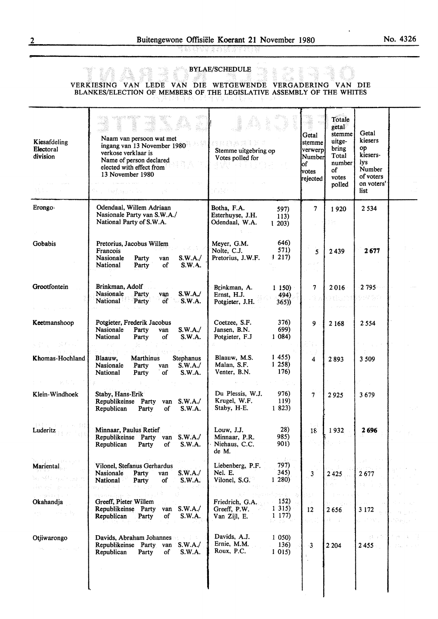in uvunun

## **BYLAE/SCHEDULE** antin'i

## VERKIESING VAN LEDE VAN DIE WETGEWENDE VERGADERING VAN DIE BLANKES/ELECTION OF MEMBERS OF THE LEGISLATIVE ASSEMBLY OF THE WHITES

| Kiesafdeling<br>Electoral<br>division     | Naam van persoon wat met<br>ingang van 13 November 1980<br>verkose verklaar is<br>Name of person declared<br>elected with effect from<br>13 November 1980<br>ivê ne vir | n sa thuộ có thể đười ch<br>Stemme uitgebring op<br>Votes polled for                                   | Getal<br>stemme<br>verwerp<br>Number<br>lof<br>votes<br>rejected | Totale<br>getal<br>stemme<br>uitge-<br>bring<br>Total<br>number  <br>of<br>votes<br>polled | Getal<br>kiesers<br>op<br>kiesers-<br>lys<br>Number<br>of voters<br>on voters'<br>list |  |
|-------------------------------------------|-------------------------------------------------------------------------------------------------------------------------------------------------------------------------|--------------------------------------------------------------------------------------------------------|------------------------------------------------------------------|--------------------------------------------------------------------------------------------|----------------------------------------------------------------------------------------|--|
| Erongo-                                   | Odendaal, Willem Adriaan<br>Nasionale Party van S.W.A./<br>National Party of S.W.A.                                                                                     | Botha, F.A.<br>597)<br>Esterhuyse, J.H.<br>113)<br>Odendaal, W.A.<br>1203)                             | 7                                                                | 1920<br>he.                                                                                | 2 5 3 4                                                                                |  |
| Gobabis                                   | Pretorius, Jacobus Willem<br>Francois<br>Nasionale<br>S.W.A./<br>Party<br>van<br>National<br>Party<br>of<br>S.W.A.                                                      | 646)<br>Meyer, G.M.<br>571)<br>Nolte, C.J.<br>1217<br>Pretorius, J.W.F.                                | $\overline{\mathbf{s}}$                                          | 2439                                                                                       | 2677                                                                                   |  |
| Grootfontein                              | Brinkman, Adolf<br>Nasionale<br>Party<br>S.W.A.<br>van<br>S.W.A.<br>National<br>Party<br>of                                                                             | Brinkman, A.<br>$1\,150$<br>Ernst, H.J.<br>494)<br>Potgieter, J.H.<br>365)                             | 7                                                                | 2016                                                                                       | 2 795                                                                                  |  |
| Keetmanshoop                              | Potgieter, Frederik Jacobus<br>S.W.A./<br>Nasionale<br>Party<br>van<br>National<br>S.W.A.<br>Party<br>οf                                                                | Coetzee, S.F.<br>376)<br>Jansen, B.N.<br>699)<br>Potgieter, F.J<br>1084)                               | 9                                                                | 2 1 6 8                                                                                    | 2554                                                                                   |  |
| Khomas-Hochland                           | Blaauw.<br><b>Marthinus</b><br>Stephanus<br>Nasionale<br>Party<br>S.W.A./<br>van<br>National<br>Party<br>S.W.A.<br>of                                                   | 1455<br>Blaauw, M.S.<br>1258<br>Malan, S.F.<br>176)<br>Venter, B.N.                                    | 4                                                                | 2893                                                                                       | 3 5 0 9                                                                                |  |
| Klein-Windhoek                            | Staby, Hans-Erik<br>Republikeinse Party<br>S.W.A./<br>van<br>Republican<br>Party<br>οf<br>S.W.A.                                                                        | Du Plessis, W.J.<br>976)<br>Krugel, W.F.<br>119)<br>Staby, H-E.<br>1823)                               | $\overline{7}$                                                   | 2925                                                                                       | 3679                                                                                   |  |
| Luderitz                                  | Minnaar, Paulus Retief<br>Republikeinse Party van S.W.A./<br>Republican<br>S.W.A.<br>Party<br>of                                                                        | 28)<br>Louw, J.J.<br>985)<br>Minnaar, P.R.<br>901)<br>Niehaus, C.C.<br>de M.                           | 18                                                               | 1932                                                                                       | 2696                                                                                   |  |
| William Steel<br>Mariental<br>a vih alice | Vilonel, Stefanus Gerhardus<br>S.W.A./<br>Party<br>Nasionale<br>van<br>National<br>$\circ$ f<br>S.W.A.<br>Party                                                         | t i geni<br>797)<br>Liebenberg, P.F.<br>345)<br>Nel. E.<br>Vilonel, S.G.<br>1280                       | 3                                                                | 2425                                                                                       | 2677                                                                                   |  |
| a seek by San St<br>Okahandja<br>÷ς.      | ny teny isan'ilay<br>Greeff, Pieter Willem<br>Republikeinse Party<br>van $S.W.A./$<br>Republican<br>Party<br>of<br>S.W.A.                                               | ta e qu<br>152)<br>Friedrich, G.A.<br>1 3 1 5 )<br>Greeff, P.W.<br>1177)<br>Van Zijl, E.<br>Participal | 12                                                               | 2656                                                                                       | 3 1 7 2                                                                                |  |
| Otjiwarongo                               | Davids, Abraham Johannes<br>S.W.A./<br>Republikeinse Party van<br>Republican<br>Party<br>of<br>S.W.A.                                                                   | Davids, A.J.<br>1050<br>Ernie, M.M.<br>136)<br>Roux, P.C.<br>1015                                      | $\cdot$ 3                                                        | 2 2 0 4                                                                                    | 活動する<br>2455                                                                           |  |
|                                           |                                                                                                                                                                         |                                                                                                        |                                                                  |                                                                                            |                                                                                        |  |

..

- 4

ere.<br>Geboortes